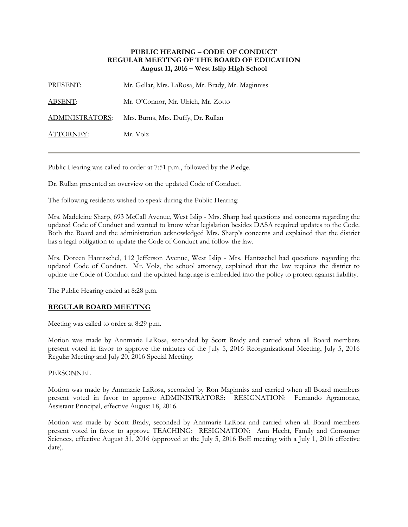## **PUBLIC HEARING – CODE OF CONDUCT REGULAR MEETING OF THE BOARD OF EDUCATION August 11, 2016 – West Islip High School**

PRESENT: Mr. Gellar, Mrs. LaRosa, Mr. Brady, Mr. Maginniss ABSENT: Mr. O'Connor, Mr. Ulrich, Mr. Zotto ADMINISTRATORS: Mrs. Burns, Mrs. Duffy, Dr. Rullan ATTORNEY: Mr. Volz

Public Hearing was called to order at 7:51 p.m., followed by the Pledge.

Dr. Rullan presented an overview on the updated Code of Conduct.

The following residents wished to speak during the Public Hearing:

Mrs. Madeleine Sharp, 693 McCall Avenue, West Islip - Mrs. Sharp had questions and concerns regarding the updated Code of Conduct and wanted to know what legislation besides DASA required updates to the Code. Both the Board and the administration acknowledged Mrs. Sharp's concerns and explained that the district has a legal obligation to update the Code of Conduct and follow the law.

Mrs. Doreen Hantzschel, 112 Jefferson Avenue, West Islip - Mrs. Hantzschel had questions regarding the updated Code of Conduct. Mr. Volz, the school attorney, explained that the law requires the district to update the Code of Conduct and the updated language is embedded into the policy to protect against liability.

The Public Hearing ended at 8:28 p.m.

# **REGULAR BOARD MEETING**

Meeting was called to order at 8:29 p.m.

Motion was made by Annmarie LaRosa, seconded by Scott Brady and carried when all Board members present voted in favor to approve the minutes of the July 5, 2016 Reorganizational Meeting, July 5, 2016 Regular Meeting and July 20, 2016 Special Meeting.

#### PERSONNEL

Motion was made by Annmarie LaRosa, seconded by Ron Maginniss and carried when all Board members present voted in favor to approve ADMINISTRATORS: RESIGNATION: Fernando Agramonte, Assistant Principal, effective August 18, 2016.

Motion was made by Scott Brady, seconded by Annmarie LaRosa and carried when all Board members present voted in favor to approve TEACHING: RESIGNATION: Ann Hecht, Family and Consumer Sciences, effective August 31, 2016 (approved at the July 5, 2016 BoE meeting with a July 1, 2016 effective date).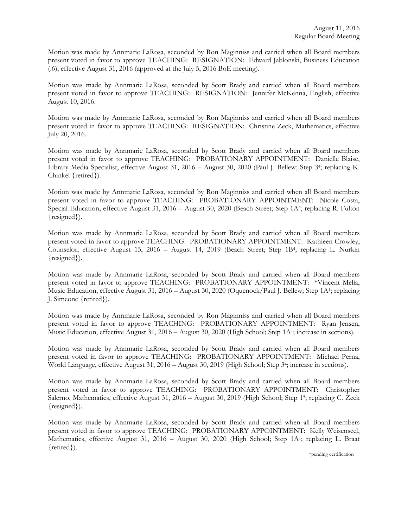Motion was made by Annmarie LaRosa, seconded by Ron Maginniss and carried when all Board members present voted in favor to approve TEACHING: RESIGNATION: Edward Jablonski, Business Education (.6), effective August 31, 2016 (approved at the July 5, 2016 BoE meeting).

Motion was made by Annmarie LaRosa, seconded by Scott Brady and carried when all Board members present voted in favor to approve TEACHING: RESIGNATION: Jennifer McKenna, English, effective August 10, 2016.

Motion was made by Annmarie LaRosa, seconded by Ron Maginniss and carried when all Board members present voted in favor to approve TEACHING: RESIGNATION: Christine Zeck, Mathematics, effective July 20, 2016.

Motion was made by Annmarie LaRosa, seconded by Scott Brady and carried when all Board members present voted in favor to approve TEACHING: PROBATIONARY APPOINTMENT: Danielle Blaise, Library Media Specialist, effective August 31, 2016 – August 30, 2020 (Paul J. Bellew; Step 34; replacing K. Chinkel {retired}).

Motion was made by Annmarie LaRosa, seconded by Ron Maginniss and carried when all Board members present voted in favor to approve TEACHING: PROBATIONARY APPOINTMENT: Nicole Costa, Special Education, effective August 31, 2016 – August 30, 2020 (Beach Street; Step 1A4; replacing R. Fulton {resigned}).

Motion was made by Annmarie LaRosa, seconded by Scott Brady and carried when all Board members present voted in favor to approve TEACHING: PROBATIONARY APPOINTMENT: Kathleen Crowley, Counselor, effective August 15, 2016 – August 14, 2019 (Beach Street; Step 1B4; replacing L. Nurkin {resigned}).

Motion was made by Annmarie LaRosa, seconded by Scott Brady and carried when all Board members present voted in favor to approve TEACHING: PROBATIONARY APPOINTMENT: \*Vincent Melia, Music Education, effective August 31, 2016 – August 30, 2020 (Oquenock/Paul J. Bellew; Step 1A1; replacing J. Simeone {retired}).

Motion was made by Annmarie LaRosa, seconded by Ron Maginniss and carried when all Board members present voted in favor to approve TEACHING: PROBATIONARY APPOINTMENT: Ryan Jensen, Music Education, effective August 31, 2016 – August 30, 2020 (High School; Step 1A1; increase in sections).

Motion was made by Annmarie LaRosa, seconded by Scott Brady and carried when all Board members present voted in favor to approve TEACHING: PROBATIONARY APPOINTMENT: Michael Perna, World Language, effective August 31, 2016 – August 30, 2019 (High School; Step 34; increase in sections).

Motion was made by Annmarie LaRosa, seconded by Scott Brady and carried when all Board members present voted in favor to approve TEACHING: PROBATIONARY APPOINTMENT: Christopher Salerno, Mathematics, effective August 31, 2016 – August 30, 2019 (High School; Step 15; replacing C. Zeck {resigned}).

Motion was made by Annmarie LaRosa, seconded by Scott Brady and carried when all Board members present voted in favor to approve TEACHING: PROBATIONARY APPOINTMENT: Kelly Weisenseel, Mathematics, effective August 31, 2016 – August 30, 2020 (High School; Step 1A1; replacing L. Braat {retired}).

\*pending certification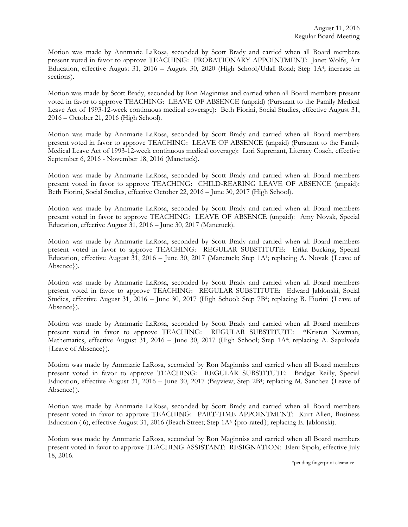Motion was made by Annmarie LaRosa, seconded by Scott Brady and carried when all Board members present voted in favor to approve TEACHING: PROBATIONARY APPOINTMENT: Janet Wolfe, Art Education, effective August 31, 2016 – August 30, 2020 (High School/Udall Road; Step 1A4; increase in sections).

Motion was made by Scott Brady, seconded by Ron Maginniss and carried when all Board members present voted in favor to approve TEACHING: LEAVE OF ABSENCE (unpaid) (Pursuant to the Family Medical Leave Act of 1993-12-week continuous medical coverage): Beth Fiorini, Social Studies, effective August 31, 2016 – October 21, 2016 (High School).

Motion was made by Annmarie LaRosa, seconded by Scott Brady and carried when all Board members present voted in favor to approve TEACHING: LEAVE OF ABSENCE (unpaid) (Pursuant to the Family Medical Leave Act of 1993-12-week continuous medical coverage): Lori Suprenant, Literacy Coach, effective September 6, 2016 - November 18, 2016 (Manetuck).

Motion was made by Annmarie LaRosa, seconded by Scott Brady and carried when all Board members present voted in favor to approve TEACHING: CHILD-REARING LEAVE OF ABSENCE (unpaid): Beth Fiorini, Social Studies, effective October 22, 2016 – June 30, 2017 (High School).

Motion was made by Annmarie LaRosa, seconded by Scott Brady and carried when all Board members present voted in favor to approve TEACHING: LEAVE OF ABSENCE (unpaid): Amy Novak, Special Education, effective August 31, 2016 – June 30, 2017 (Manetuck).

Motion was made by Annmarie LaRosa, seconded by Scott Brady and carried when all Board members present voted in favor to approve TEACHING: REGULAR SUBSTITUTE: Erika Bucking, Special Education, effective August 31, 2016 – June 30, 2017 (Manetuck; Step 1A1; replacing A. Novak {Leave of Absence}).

Motion was made by Annmarie LaRosa, seconded by Scott Brady and carried when all Board members present voted in favor to approve TEACHING: REGULAR SUBSTITUTE: Edward Jablonski, Social Studies, effective August 31, 2016 – June 30, 2017 (High School; Step 7B4; replacing B. Fiorini {Leave of Absence}).

Motion was made by Annmarie LaRosa, seconded by Scott Brady and carried when all Board members present voted in favor to approve TEACHING: REGULAR SUBSTITUTE: \*Kristen Newman, Mathematics, effective August 31, 2016 – June 30, 2017 (High School; Step 1A4; replacing A. Sepulveda {Leave of Absence}).

Motion was made by Annmarie LaRosa, seconded by Ron Maginniss and carried when all Board members present voted in favor to approve TEACHING: REGULAR SUBSTITUTE: Bridget Reilly, Special Education, effective August 31, 2016 – June 30, 2017 (Bayview; Step 2B4; replacing M. Sanchez {Leave of Absence}).

Motion was made by Annmarie LaRosa, seconded by Scott Brady and carried when all Board members present voted in favor to approve TEACHING: PART-TIME APPOINTMENT: Kurt Allen, Business Education (.6), effective August 31, 2016 (Beach Street; Step 1A<sup>6</sup> {pro-rated}; replacing E. Jablonski).

Motion was made by Annmarie LaRosa, seconded by Ron Maginniss and carried when all Board members present voted in favor to approve TEACHING ASSISTANT: RESIGNATION: Eleni Sipola, effective July 18, 2016.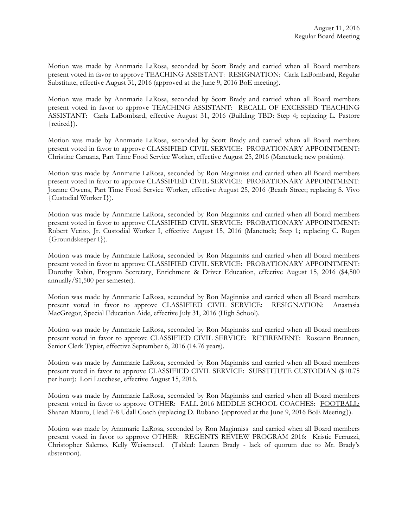Motion was made by Annmarie LaRosa, seconded by Scott Brady and carried when all Board members present voted in favor to approve TEACHING ASSISTANT: RESIGNATION: Carla LaBombard, Regular Substitute, effective August 31, 2016 (approved at the June 9, 2016 BoE meeting).

Motion was made by Annmarie LaRosa, seconded by Scott Brady and carried when all Board members present voted in favor to approve TEACHING ASSISTANT: RECALL OF EXCESSED TEACHING ASSISTANT: Carla LaBombard, effective August 31, 2016 (Building TBD: Step 4; replacing L. Pastore {retired}).

Motion was made by Annmarie LaRosa, seconded by Scott Brady and carried when all Board members present voted in favor to approve CLASSIFIED CIVIL SERVICE: PROBATIONARY APPOINTMENT: Christine Caruana, Part Time Food Service Worker, effective August 25, 2016 (Manetuck; new position).

Motion was made by Annmarie LaRosa, seconded by Ron Maginniss and carried when all Board members present voted in favor to approve CLASSIFIED CIVIL SERVICE: PROBATIONARY APPOINTMENT: Joanne Owens, Part Time Food Service Worker, effective August 25, 2016 (Beach Street; replacing S. Vivo {Custodial Worker I}).

Motion was made by Annmarie LaRosa, seconded by Ron Maginniss and carried when all Board members present voted in favor to approve CLASSIFIED CIVIL SERVICE: PROBATIONARY APPOINTMENT: Robert Verito, Jr. Custodial Worker I, effective August 15, 2016 (Manetuck; Step 1; replacing C. Rugen {Groundskeeper I}).

Motion was made by Annmarie LaRosa, seconded by Ron Maginniss and carried when all Board members present voted in favor to approve CLASSIFIED CIVIL SERVICE: PROBATIONARY APPOINTMENT: Dorothy Rabin, Program Secretary, Enrichment & Driver Education, effective August 15, 2016 (\$4,500 annually/\$1,500 per semester).

Motion was made by Annmarie LaRosa, seconded by Ron Maginniss and carried when all Board members present voted in favor to approve CLASSIFIED CIVIL SERVICE: RESIGNATION: Anastasia MacGregor, Special Education Aide, effective July 31, 2016 (High School).

Motion was made by Annmarie LaRosa, seconded by Ron Maginniss and carried when all Board members present voted in favor to approve CLASSIFIED CIVIL SERVICE: RETIREMENT: Roseann Brunnen, Senior Clerk Typist, effective September 6, 2016 (14.76 years).

Motion was made by Annmarie LaRosa, seconded by Ron Maginniss and carried when all Board members present voted in favor to approve CLASSIFIED CIVIL SERVICE: SUBSTITUTE CUSTODIAN (\$10.75 per hour): Lori Lucchese, effective August 15, 2016.

Motion was made by Annmarie LaRosa, seconded by Ron Maginniss and carried when all Board members present voted in favor to approve OTHER: FALL 2016 MIDDLE SCHOOL COACHES: FOOTBALL: Shanan Mauro, Head 7-8 Udall Coach (replacing D. Rubano {approved at the June 9, 2016 BoE Meeting}).

Motion was made by Annmarie LaRosa, seconded by Ron Maginniss and carried when all Board members present voted in favor to approve OTHER: REGENTS REVIEW PROGRAM 2016: Kristie Ferruzzi, Christopher Salerno, Kelly Weisenseel. (Tabled: Lauren Brady - lack of quorum due to Mr. Brady's abstention).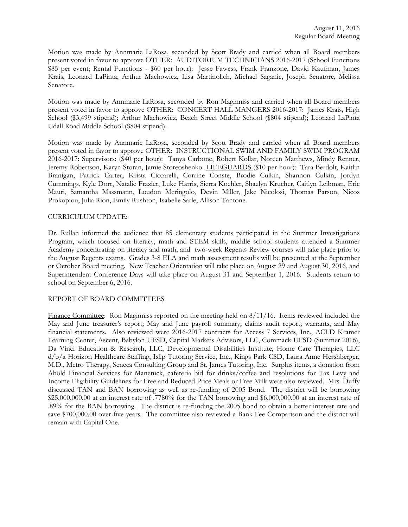Motion was made by Annmarie LaRosa, seconded by Scott Brady and carried when all Board members present voted in favor to approve OTHER: AUDITORIUM TECHNICIANS 2016-2017 (School Functions \$85 per event; Rental Functions - \$60 per hour): Jesse Fawess, Frank Franzone, David Kaufman, James Krais, Leonard LaPinta, Arthur Machowicz, Lisa Martinolich, Michael Saganic, Joseph Senatore, Melissa Senatore.

Motion was made by Annmarie LaRosa, seconded by Ron Maginniss and carried when all Board members present voted in favor to approve OTHER: CONCERT HALL MANGERS 2016-2017: James Krais, High School (\$3,499 stipend); Arthur Machowicz, Beach Street Middle School (\$804 stipend); Leonard LaPinta Udall Road Middle School (\$804 stipend).

Motion was made by Annmarie LaRosa, seconded by Scott Brady and carried when all Board members present voted in favor to approve OTHER: INSTRUCTIONAL SWIM AND FAMILY SWIM PROGRAM 2016-2017: Supervisors: (\$40 per hour): Tanya Carbone, Robert Kollar, Noreen Matthews, Mindy Renner, Jeremy Robertson, Karyn Storan, Jamie Storeoshenko. LIFEGUARDS (\$10 per hour): Tara Berdolt, Kaitlin Branigan, Patrick Carter, Krista Ciccarelli, Corrine Conste, Brodie Culkin, Shannon Culkin, Jordyn Cummings, Kyle Dorr, Natalie Frazier, Luke Harris, Sierra Koehler, Shaelyn Krucher, Caitlyn Leibman, Eric Mauri, Samantha Massmann, Loudon Meringolo, Devin Miller, Jake Nicolosi, Thomas Parson, Nicos Prokopiou, Julia Rion, Emily Rushton, Isabelle Sarle, Allison Tantone.

## CURRICULUM UPDATE:

Dr. Rullan informed the audience that 85 elementary students participated in the Summer Investigations Program, which focused on literacy, math and STEM skills, middle school students attended a Summer Academy concentrating on literacy and math, and two-week Regents Review courses will take place prior to the August Regents exams. Grades 3-8 ELA and math assessment results will be presented at the September or October Board meeting. New Teacher Orientation will take place on August 29 and August 30, 2016, and Superintendent Conference Days will take place on August 31 and September 1, 2016. Students return to school on September 6, 2016.

#### REPORT OF BOARD COMMITTEES

Finance Committee: Ron Maginniss reported on the meeting held on 8/11/16. Items reviewed included the May and June treasurer's report; May and June payroll summary; claims audit report; warrants, and May financial statements. Also reviewed were 2016-2017 contracts for Access 7 Services, Inc., ACLD Kramer Learning Center, Ascent, Babylon UFSD, Capital Markets Advisors, LLC, Commack UFSD (Summer 2016), Da Vinci Education & Research, LLC, Developmental Disabilities Institute, Home Care Therapies, LLC d/b/a Horizon Healthcare Staffing, Islip Tutoring Service, Inc., Kings Park CSD, Laura Anne Hershberger, M.D., Metro Therapy, Seneca Consulting Group and St. James Tutoring, Inc. Surplus items, a donation from Ahold Financial Services for Manetuck, cafeteria bid for drinks/coffee and resolutions for Tax Levy and Income Eligibility Guidelines for Free and Reduced Price Meals or Free Milk were also reviewed. Mrs. Duffy discussed TAN and BAN borrowing as well as re-funding of 2005 Bond. The district will be borrowing \$25,000,000.00 at an interest rate of .7780% for the TAN borrowing and \$6,000,000.00 at an interest rate of .89% for the BAN borrowing. The district is re-funding the 2005 bond to obtain a better interest rate and save \$700,000.00 over five years. The committee also reviewed a Bank Fee Comparison and the district will remain with Capital One.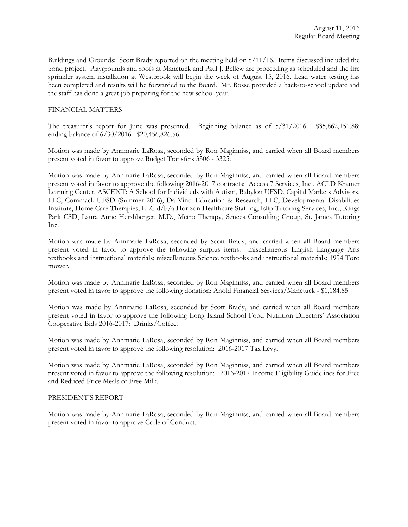Buildings and Grounds: Scott Brady reported on the meeting held on 8/11/16. Items discussed included the bond project. Playgrounds and roofs at Manetuck and Paul J. Bellew are proceeding as scheduled and the fire sprinkler system installation at Westbrook will begin the week of August 15, 2016. Lead water testing has been completed and results will be forwarded to the Board. Mr. Bosse provided a back-to-school update and the staff has done a great job preparing for the new school year.

## FINANCIAL MATTERS

The treasurer's report for June was presented. Beginning balance as of 5/31/2016: \$35,862,151.88; ending balance of 6/30/2016: \$20,456,826.56.

Motion was made by Annmarie LaRosa, seconded by Ron Maginniss, and carried when all Board members present voted in favor to approve Budget Transfers 3306 - 3325.

Motion was made by Annmarie LaRosa, seconded by Ron Maginniss, and carried when all Board members present voted in favor to approve the following 2016-2017 contracts: Access 7 Services, Inc., ACLD Kramer Learning Center, ASCENT: A School for Individuals with Autism, Babylon UFSD, Capital Markets Advisors, LLC, Commack UFSD (Summer 2016), Da Vinci Education & Research, LLC, Developmental Disabilities Institute, Home Care Therapies, LLC d/b/a Horizon Healthcare Staffing, Islip Tutoring Services, Inc., Kings Park CSD, Laura Anne Hershberger, M.D., Metro Therapy, Seneca Consulting Group, St. James Tutoring Inc.

Motion was made by Annmarie LaRosa, seconded by Scott Brady, and carried when all Board members present voted in favor to approve the following surplus items: miscellaneous English Language Arts textbooks and instructional materials; miscellaneous Science textbooks and instructional materials; 1994 Toro mower.

Motion was made by Annmarie LaRosa, seconded by Ron Maginniss, and carried when all Board members present voted in favor to approve the following donation: Ahold Financial Services/Manetuck - \$1,184.85.

Motion was made by Annmarie LaRosa, seconded by Scott Brady, and carried when all Board members present voted in favor to approve the following Long Island School Food Nutrition Directors' Association Cooperative Bids 2016-2017: Drinks/Coffee.

Motion was made by Annmarie LaRosa, seconded by Ron Maginniss, and carried when all Board members present voted in favor to approve the following resolution: 2016-2017 Tax Levy.

Motion was made by Annmarie LaRosa, seconded by Ron Maginniss, and carried when all Board members present voted in favor to approve the following resolution: 2016-2017 Income Eligibility Guidelines for Free and Reduced Price Meals or Free Milk.

#### PRESIDENT'S REPORT

Motion was made by Annmarie LaRosa, seconded by Ron Maginniss, and carried when all Board members present voted in favor to approve Code of Conduct.